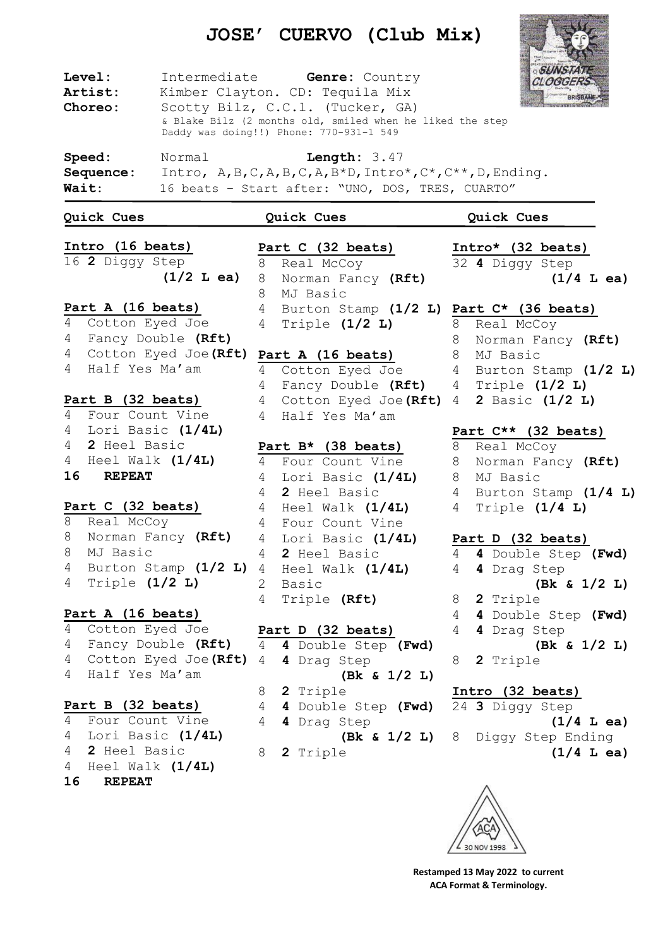## **JOSE' CUERVO (Club Mix)**



 Cotton Eyed Joe Fancy Double **(Rft)** Cotton Eyed Joe**(Rft)** Half Yes Ma'am

## **Part B (32 beats)** Four Count Vine Lori Basic **(1/4L) 2** Heel Basic Heel Walk **(1/4L) REPEAT**

**Part D (32 beats) 4** Double Step **(Fwd) 4** Drag Step **(Bk & 1/2 L) 2** Triple **4** Double Step **(Fwd) 4** Drag Step **(Bk & 1/2 L) 2** Triple

## **4** Drag Step **(Bk & 1/2 L) 2** Triple **Intro (32 beats) 3** Diggy Step

 **(1/4 L ea)** Diggy Step Ending **(1/4 L ea)**



**Restamped 13 May 2022 to current ACA Format & Terminology.**